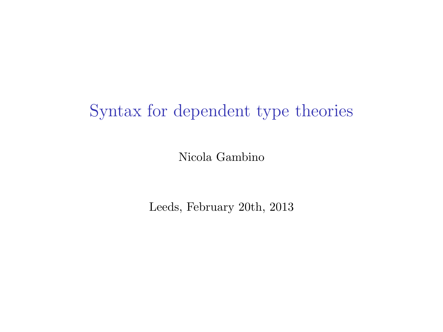### Syntax for dependent type theories

Nicola Gambino

Leeds, February 20th, 2013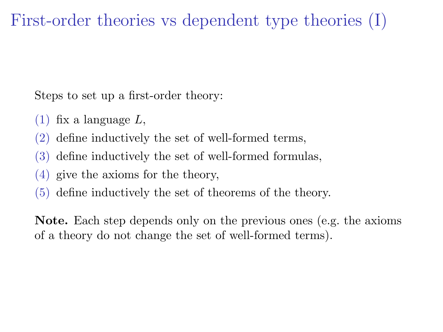## First-order theories vs dependent type theories (I)

Steps to set up a first-order theory:

- $(1)$  fix a language L,
- (2) define inductively the set of well-formed terms,
- (3) define inductively the set of well-formed formulas,
- (4) give the axioms for the theory,
- (5) define inductively the set of theorems of the theory.

Note. Each step depends only on the previous ones (e.g. the axioms of a theory do not change the set of well-formed terms).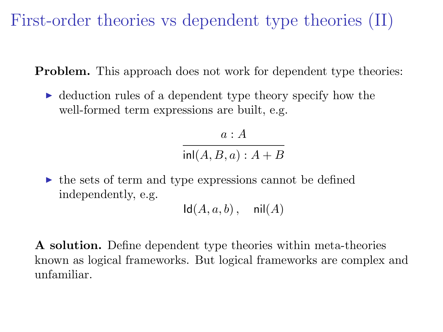First-order theories vs dependent type theories (II)

Problem. This approach does not work for dependent type theories:

 $\triangleright$  deduction rules of a dependent type theory specify how the well-formed term expressions are built, e.g.

> $a : A$  $inl(A, B, a): A + B$

 $\triangleright$  the sets of term and type expressions cannot be defined independently, e.g.

 $\mathsf{Id}(A, a, b)$ , nil $(A)$ 

A solution. Define dependent type theories within meta-theories known as logical frameworks. But logical frameworks are complex and unfamiliar.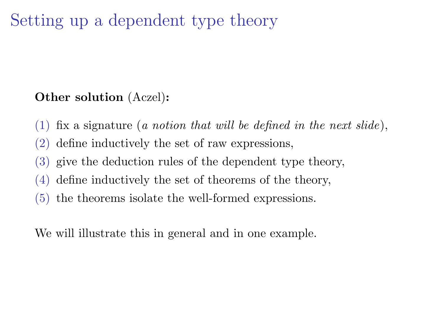## Setting up a dependent type theory

#### Other solution (Aczel):

- (1) fix a signature (a notion that will be defined in the next slide),
- (2) define inductively the set of raw expressions,
- (3) give the deduction rules of the dependent type theory,
- (4) define inductively the set of theorems of the theory,
- (5) the theorems isolate the well-formed expressions.

We will illustrate this in general and in one example.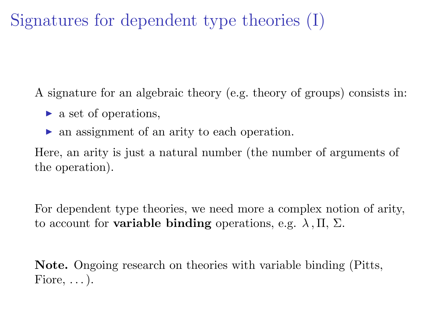Signatures for dependent type theories (I)

A signature for an algebraic theory (e.g. theory of groups) consists in:

- $\blacktriangleright$  a set of operations,
- $\triangleright$  an assignment of an arity to each operation.

Here, an arity is just a natural number (the number of arguments of the operation).

For dependent type theories, we need more a complex notion of arity, to account for **variable binding** operations, e.g.  $\lambda$ ,  $\Pi$ ,  $\Sigma$ .

Note. Ongoing research on theories with variable binding (Pitts, Fiore,  $\dots$ ).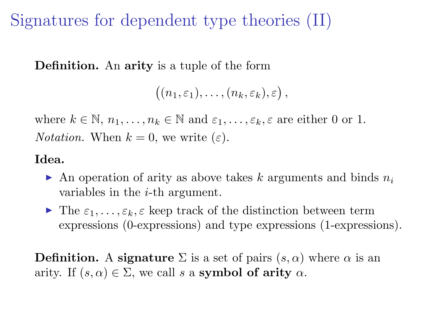Signatures for dependent type theories (II)

Definition. An arity is a tuple of the form

```
((n_1,\varepsilon_1),\ldots,(n_k,\varepsilon_k),\varepsilon),
```
where  $k \in \mathbb{N}, n_1, \ldots, n_k \in \mathbb{N}$  and  $\varepsilon_1, \ldots, \varepsilon_k, \varepsilon$  are either 0 or 1. *Notation.* When  $k = 0$ , we write  $(\varepsilon)$ .

#### Idea.

- $\triangleright$  An operation of arity as above takes k arguments and binds  $n_i$ variables in the i-th argument.
- $\blacktriangleright$  The  $\varepsilon_1, \ldots, \varepsilon_k, \varepsilon$  keep track of the distinction between term expressions (0-expressions) and type expressions (1-expressions).

**Definition.** A signature  $\Sigma$  is a set of pairs  $(s, \alpha)$  where  $\alpha$  is an arity. If  $(s, \alpha) \in \Sigma$ , we call s a symbol of arity  $\alpha$ .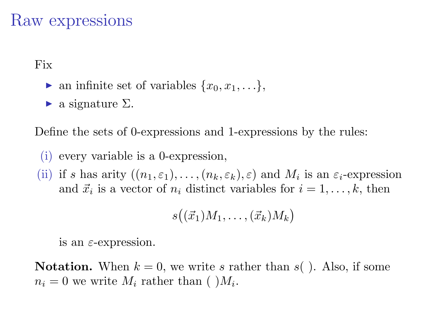### Raw expressions

Fix

- ightharpoontanal infinite set of variables  $\{x_0, x_1, \ldots\}$ ,
- $\blacktriangleright$  a signature  $\Sigma$ .

Define the sets of 0-expressions and 1-expressions by the rules:

- (i) every variable is a 0-expression,
- (ii) if s has arity  $((n_1, \varepsilon_1), \ldots, (n_k, \varepsilon_k), \varepsilon)$  and  $M_i$  is an  $\varepsilon_i$ -expression and  $\vec{x}_i$  is a vector of  $n_i$  distinct variables for  $i = 1, \ldots, k$ , then

$$
s((\vec{x}_1)M_1,\ldots,(\vec{x}_k)M_k)
$$

is an  $\varepsilon$ -expression.

**Notation.** When  $k = 0$ , we write s rather than s(). Also, if some  $n_i = 0$  we write  $M_i$  rather than ( ) $M_i$ .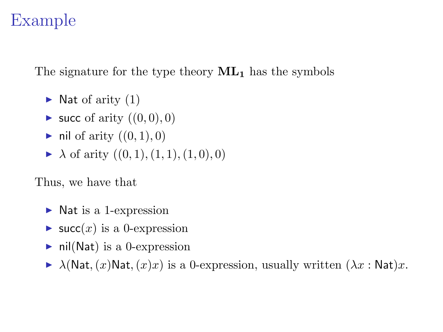## Example

The signature for the type theory  $ML_1$  has the symbols

- $\blacktriangleright$  Nat of arity (1)
- $\blacktriangleright$  succ of arity  $((0, 0), 0)$
- ightharpoontrive in  $(0, 1), 0)$
- $\blacktriangleright$   $\lambda$  of arity  $((0, 1), (1, 1), (1, 0), 0)$

Thus, we have that

- $\triangleright$  Nat is a 1-expression
- $\blacktriangleright$  succ(x) is a 0-expression
- $\blacktriangleright$  nil(Nat) is a 0-expression
- $\blacktriangleright$   $\lambda$ (Nat,  $(x)$ Nat,  $(x)x$ ) is a 0-expression, usually written  $(\lambda x : \mathsf{Nat})x$ .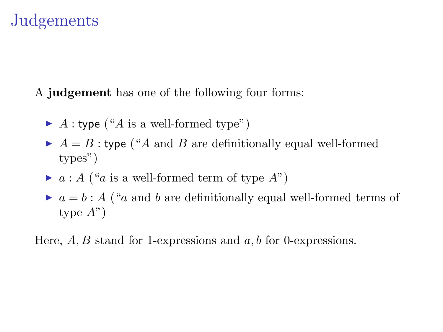### **Judgements**

A judgement has one of the following four forms:

- $\blacktriangleright$  A : type ("A is a well-formed type")
- $\blacktriangleright$   $A = B$ : type ("A and B are definitionally equal well-formed types")
- $\blacktriangleright$  a : A ("a is a well-formed term of type A")
- $\blacktriangleright$   $a = b : A$  ("a and b are definitionally equal well-formed terms of type  $A$ ")

Here,  $A, B$  stand for 1-expressions and  $a, b$  for 0-expressions.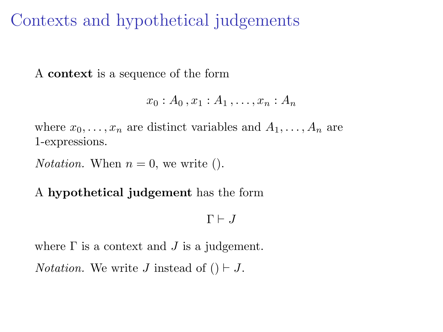### Contexts and hypothetical judgements

A context is a sequence of the form

$$
x_0:A_0,x_1:A_1,\ldots,x_n:A_n
$$

where  $x_0, \ldots, x_n$  are distinct variables and  $A_1, \ldots, A_n$  are 1-expressions.

*Notation.* When  $n = 0$ , we write ().

#### A hypothetical judgement has the form

 $\Gamma \vdash J$ 

where  $\Gamma$  is a context and  $J$  is a judgement.

*Notation.* We write J instead of  $() \vdash J$ .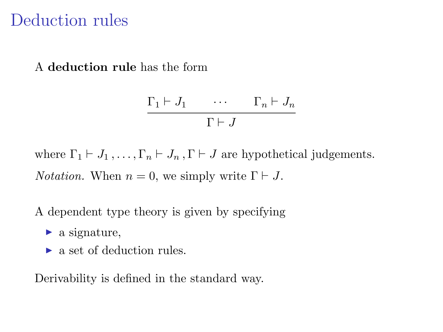### Deduction rules

A deduction rule has the form

$$
\frac{\Gamma_1 \vdash J_1 \qquad \cdots \qquad \Gamma_n \vdash J_n}{\Gamma \vdash J}
$$

where  $\Gamma_1 \vdash J_1, \ldots, \Gamma_n \vdash J_n, \Gamma \vdash J$  are hypothetical judgements. *Notation.* When  $n = 0$ , we simply write  $\Gamma \vdash J$ .

A dependent type theory is given by specifying

- $\blacktriangleright$  a signature,
- $\blacktriangleright$  a set of deduction rules.

Derivability is defined in the standard way.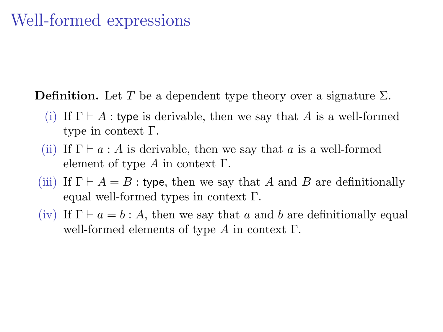### Well-formed expressions

**Definition.** Let T be a dependent type theory over a signature  $\Sigma$ .

- (i) If  $\Gamma \vdash A$ : type is derivable, then we say that A is a well-formed type in context Γ.
- (ii) If  $\Gamma \vdash a : A$  is derivable, then we say that a is a well-formed element of type  $A$  in context  $\Gamma$ .
- (iii) If  $\Gamma \vdash A = B$ : type, then we say that A and B are definitionally equal well-formed types in context Γ.
- (iv) If  $\Gamma \vdash a = b : A$ , then we say that a and b are definitionally equal well-formed elements of type  $A$  in context  $\Gamma$ .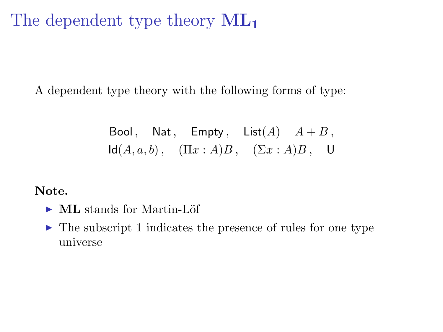The dependent type theory  $ML_1$ 

A dependent type theory with the following forms of type:

Bool, Nat, Empty, List(A)  $A + B$ ,  $\mathsf{Id}(A, a, b)$ ,  $(\Pi x : A)B$ ,  $(\Sigma x : A)B$ , U

Note.

- $\triangleright$  ML stands for Martin-Löf
- $\blacktriangleright$  The subscript 1 indicates the presence of rules for one type universe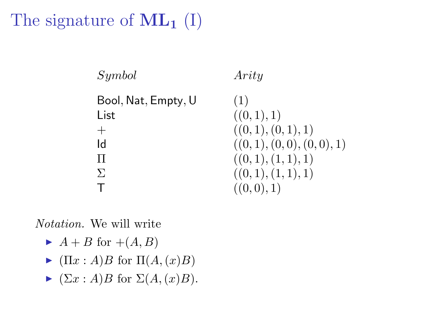# The signature of  $ML_1$  (I)

| Symbol              | Arity                    |
|---------------------|--------------------------|
| Bool, Nat, Empty, U | (1)                      |
| List                | ((0,1),1)                |
| $^{+}$              | ((0,1),(0,1),1)          |
| ld                  | ((0,1), (0,0), (0,0), 1) |
| Π                   | ((0,1),(1,1),1)          |
| $\Sigma$            | ((0,1),(1,1),1)          |
|                     | ((0,0),1)                |

Notation. We will write

- $\blacktriangleright$  A + B for +(A, B)
- $\blacktriangleright$   $(\Pi x : A)B$  for  $\Pi(A,(x)B)$
- $\blacktriangleright$   $(\Sigma x : A)B$  for  $\Sigma(A,(x)B)$ .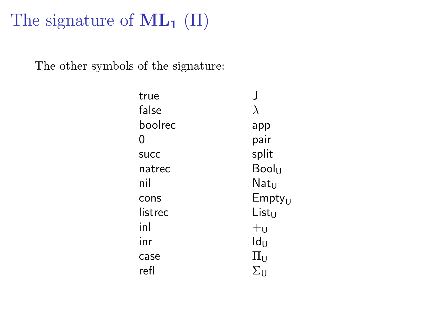# The signature of  $ML_1$  (II)

The other symbols of the signature:

| true        |                    |
|-------------|--------------------|
| false       | λ                  |
| boolrec     | app                |
| 0           | pair               |
| <b>SUCC</b> | split              |
| natrec      | Booln              |
| nil         | Natu               |
| cons        | Empty <sub>U</sub> |
| listrec     | List <sub>U</sub>  |
| inl         | $+$ u              |
| inr         | $Id_U$             |
| case        | $\Pi_{\mathsf{U}}$ |
| refl        | Συ                 |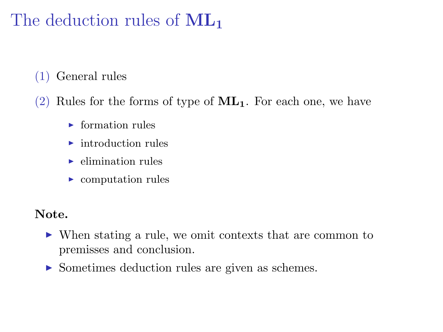# The deduction rules of  $ML_1$

- (1) General rules
- (2) Rules for the forms of type of  $ML_1$ . For each one, we have
	- $\blacktriangleright$  formation rules
	- $\blacktriangleright$  introduction rules
	- $\blacktriangleright$  elimination rules
	- $\triangleright$  computation rules

#### Note.

- $\triangleright$  When stating a rule, we omit contexts that are common to premisses and conclusion.
- ▶ Sometimes deduction rules are given as schemes.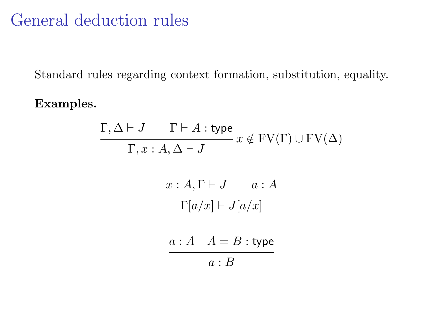## General deduction rules

Standard rules regarding context formation, substitution, equality.

Examples.

$$
\Gamma, \Delta \vdash J \qquad \Gamma \vdash A : \text{type } x \notin \text{FV}(\Gamma) \cup \text{FV}(\Delta)
$$

$$
\Gamma, x : A, \Delta \vdash J \qquad a : A
$$

$$
\frac{x : A, \Gamma \vdash J \qquad a : A}{\Gamma[a/x] \vdash J[a/x]}
$$

$$
\frac{a : A \quad A = B : \text{type } a : B}{a : B}
$$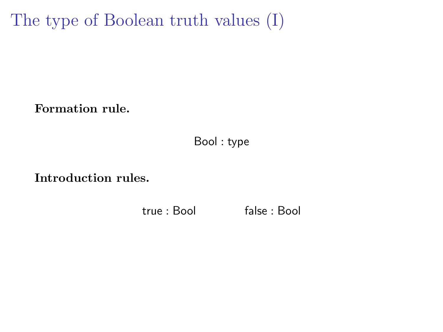The type of Boolean truth values (I)

Formation rule.

Bool : type

Introduction rules.

true : Bool false : Bool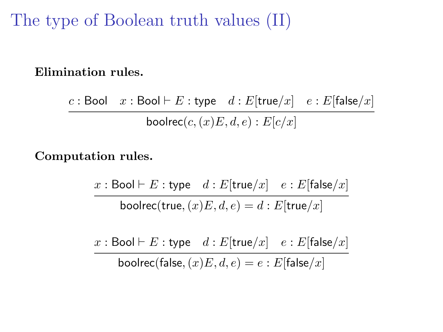The type of Boolean truth values (II)

#### Elimination rules.

c : Bool  $x :$  Bool  $\vdash E :$  type  $d : E$ [true/ $x$ ]  $e : E$ [false/ $x$ ] boolrec $(c,(x)E, d, e): E[c/x]$ 

#### Computation rules.

x : Bool  $\vdash E$  : type  $d : E$ [true/x]  $e : E$ [false/x] boolrec(true,  $(x)E, d, e$ ) = d : E[true/x]

x : Bool  $\vdash E$  : type  $d : E$ [true/x]  $e : E$ [false/x]

boolrec(false,  $(x)E, d, e$ ) = e : E[false/x]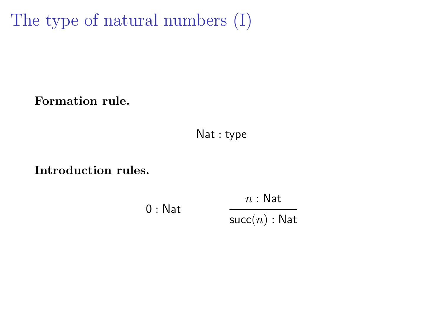The type of natural numbers (I)

Formation rule.

Nat : type

#### Introduction rules.

0 : Nat  $n : \mathsf{Nat}$  $succ(n)$ : Nat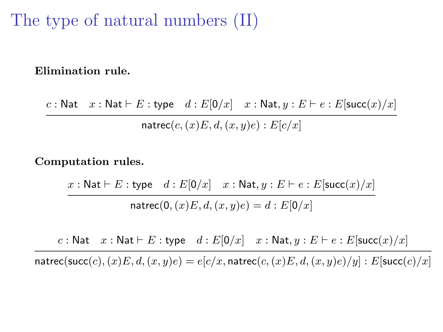### The type of natural numbers (II)

Elimination rule.

c : Nat  $x : \mathsf{Nat} \vdash E : \mathsf{type} \quad d : E[0/x] \quad x : \mathsf{Nat}, y : E \vdash e : E[\mathsf{succ}(x)/x]$ natrec $(c,(x)E, d,(x, y)e):E[c/x]$ 

Computation rules.

 $x : \mathsf{Nat} \vdash E : \mathsf{type} \quad d : E[0/x] \quad x : \mathsf{Nat}, y : E \vdash e : E[\mathsf{succ}(x)/x]$ natrec(0,  $(x)E, d, (x, y)e$ ) = d :  $E[0/x]$ 

c : Nat  $x : \mathsf{Nat} \vdash E : \mathsf{type} \quad d : E[0/x] \quad x : \mathsf{Nat}, y : E \vdash e : E[\mathsf{succ}(x)/x]$ 

natrec(succ(c),(x)E, d,(x, y)e) =  $e[c/x, \text{matterc}(c,(x)E, d,(x, y)e)/y]$  : E[succ(c)/x]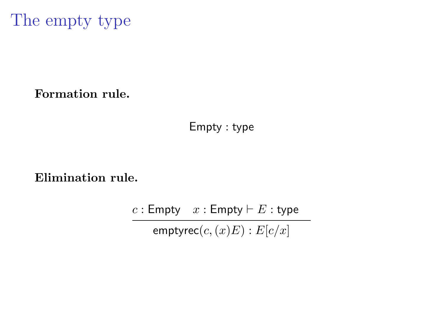The empty type

#### Formation rule.

Empty : type

Elimination rule.

 $c :$  Empty  $x :$  Empty  $\vdash E :$  type emptyrec $(c,(x)E) : E[c/x]$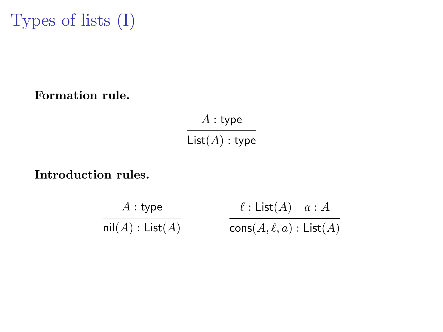Types of lists (I)

#### Formation rule.

 $\mathcal A$  : type  $List(A) : type$ 

#### Introduction rules.

$$
\frac{A : \text{type}}{\text{nil}(A) : \text{List}(A)} \qquad \qquad \frac{\ell : \text{List}(A) \quad a : A}{\text{cons}(A, \ell, a) : \text{List}(A)}
$$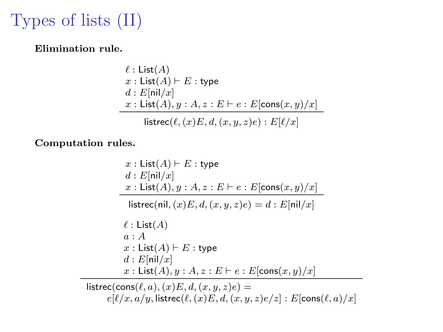# Types of lists (II)

Elimination rule.

$$
\ell : \text{List}(A)
$$
  

$$
x : \text{List}(A) \vdash E : \text{type}
$$
  

$$
d : E[\text{nil}/x]
$$
  

$$
x : \text{List}(A), y : A, z : E \vdash e : E[\text{cons}(x, y)/x]
$$
  
listrec( $\ell$ ,  $(x)E, d, (x, y, z)e$ ) :  $E[\ell/x]$ 

Computation rules.

 $x :$  List $(A) \vdash E :$  type  $d : E[**nil**/x]$  $x : \textsf{List}(A), y : A, z : E \vdash e : E[\textsf{cons}(x, y)/x]$ listrec(nil,  $(x)E, d, (x, y, z)e$ ) = d : E[nil/x]  $\ell$  : List(A)  $a : A$  $x :$  List $(A) \vdash E :$  type  $d : E[**nil**/x]$  $x : \textsf{List}(A), y : A, z : E \vdash e : E[\textsf{cons}(x, y)/x]$ listrec(cons( $\ell, a$ ),  $(x)E, d, (x, y, z)e$ ) =

 $e[\ell/x, a/y, \text{listrec}(\ell, (x)E, d, (x, y, z)e/z] : E[\text{cons}(\ell, a)/x]$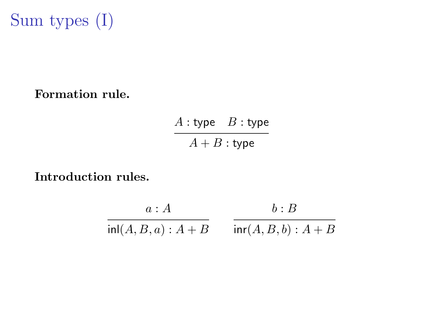

#### Formation rule.

 $A:$  type  $B:$  type  $A + B$  : type

#### Introduction rules.

$$
\frac{a:A}{\ln(A,B,a):A+B} \qquad \frac{b:B}{\ln(A,B,b):A+B}
$$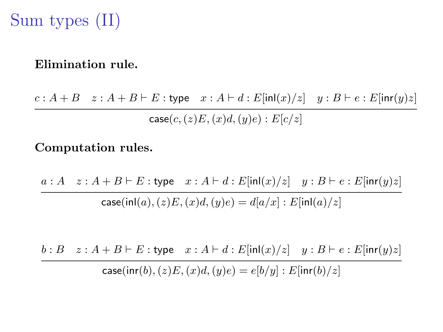## Sum types (II)

#### Elimination rule.

 $c : A + B \quad z : A + B \vdash E :$  type  $x : A \vdash d : E[\text{inl}(x)/z] \quad y : B \vdash e : E[\text{inr}(y)z]$  $case(c,(z)E,(x)d,(y)e) : E[c/z]$ 

#### Computation rules.

 $a : A \quad z : A + B \vdash E :$  type  $x : A \vdash d : E[\text{inl}(x)/z] \quad y : B \vdash e : E[\text{inr}(y)z]$  $case(inl(a), (z)E, (x)d, (y)e) = d[a/x] : E[inl(a)/z]$ 

 $b : B \quad z : A + B \vdash E :$  type  $x : A \vdash d : E[\text{inl}(x)/z] \quad y : B \vdash e : E[\text{inr}(y)z]$ case(inr(b),  $(z)E,(x)d,(y)e$ ) =  $e[b/y]$  :  $E$ [inr(b)/z]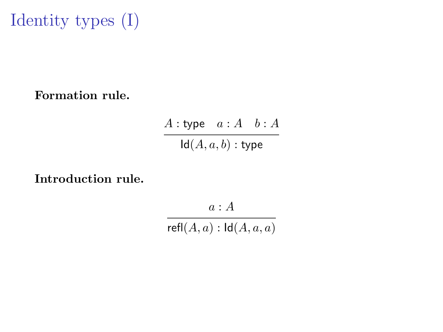Identity types (I)

Formation rule.

 $A :$ type  $a : A \quad b : A$  $Id(A, a, b)$ : type

Introduction rule.

 $a : A$ 

 $refl(A, a) : Id(A, a, a)$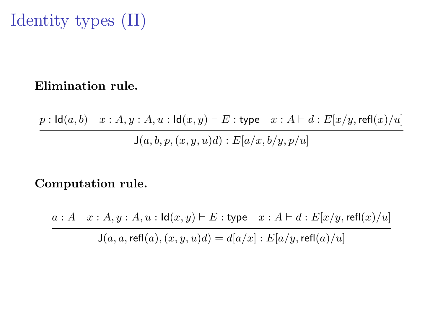# Identity types (II)

#### Elimination rule.

 $p : \mathsf{Id}(a, b) \quad x : A, y : A, u : \mathsf{Id}(x, y) \vdash E : \mathsf{type} \quad x : A \vdash d : E[x/y, \mathsf{refl}(x)/u]$  $J(a, b, p, (x, y, u)d) : E[a/x, b/y, p/u]$ 

#### Computation rule.

 $a : A \quad x : A, y : A, u : \mathsf{Id}(x, y) \vdash E : \mathsf{type} \quad x : A \vdash d : E[x/y, \mathsf{refl}(x)/u]$  $J(a, a, \text{refl}(a), (x, y, u)d) = d[a/x] : E[a/y, \text{refl}(a)/u]$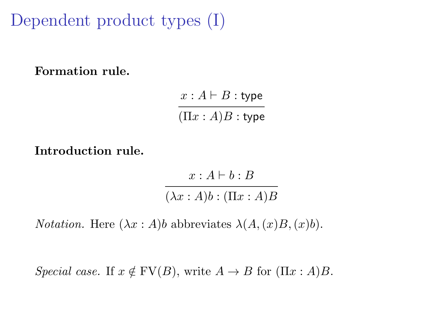Dependent product types (I)

Formation rule.

 $x : A \vdash B :$  type  $(\Pi x : A)B :$  type

Introduction rule.

 $x : A \vdash b : B$  $(\lambda x : A)b : (\Pi x : A)B$ 

*Notation.* Here  $(\lambda x : A)$ *b* abbreviates  $\lambda(A,(x)B,(x)b)$ .

Special case. If  $x \notin FV(B)$ , write  $A \to B$  for  $(\Pi x : A)B$ .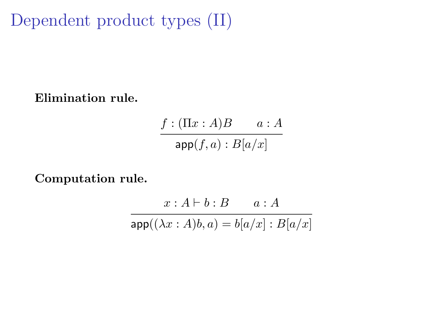Dependent product types (II)

Elimination rule.

 $f : (\Pi x : A)B \qquad a : A$  $app(f, a) : B[a/x]$ 

Computation rule.

 $x : A \vdash b : B$   $a : A$  $app((\lambda x : A)b, a) = b[a/x] : B[a/x]$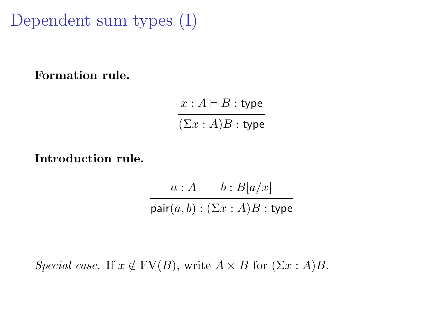Dependent sum types (I)

Formation rule.

 $x : A \vdash B :$  type  $(\Sigma x : A)B :$  type

Introduction rule.

 $a : A \longrightarrow b : B[a/x]$ pair $(a, b) : (\Sigma x : A)B$ : type

Special case. If  $x \notin FV(B)$ , write  $A \times B$  for  $(\Sigma x : A)B$ .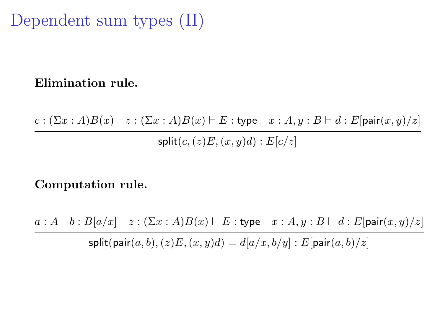## Dependent sum types (II)

#### Elimination rule.

 $c : (\Sigma x : A)B(x) \quad z : (\Sigma x : A)B(x) \vdash E :$  type  $x : A, y : B \vdash d : E$ [pair $(x, y)/z$ ]  $split(c,(z)E,(x,y)d):E[c/z]$ 

#### Computation rule.

 $a : A \quad b : B[a/x] \quad z : (\Sigma x : A)B(x) \vdash E :$  type  $x : A, y : B \vdash d : E[\text{pair}(x, y)/z]$ 

split(pair $(a, b), (z)E, (x, y)d$ ) =  $d[a/x, b/y] : E[pair(a, b)/z]$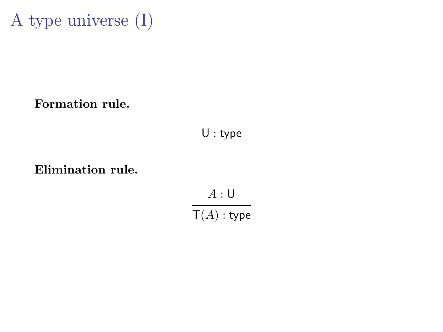

Formation rule.

U : type

Elimination rule.

 $A:U$  $\mathsf{T}(A)$  : type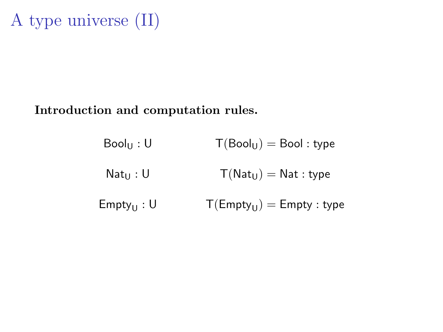# A type universe (II)

#### Introduction and computation rules.

| $Bool_U: U$     | $T(Bool_U) = Bool : type$     |
|-----------------|-------------------------------|
| $Nat_{II}: U$   | $T(Nat_U) = Nat : type$       |
| $Empty_{U}$ : U | $T(Empty_{U}) = Empty : type$ |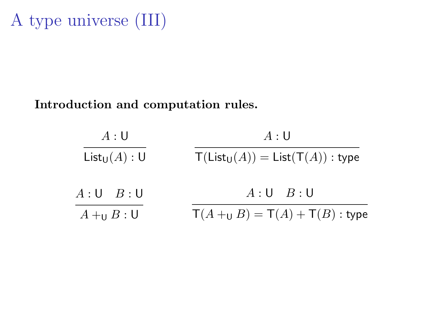#### Introduction and computation rules.

| A:U             | A:U                                                                               |
|-----------------|-----------------------------------------------------------------------------------|
| $List_U(A):U$   | $\mathsf{T}(\mathsf{List}_{\mathsf{U}}(A)) = \mathsf{List}(\mathsf{T}(A))$ : type |
| $A:U \quad B:U$ | $A:U \quad B:U$                                                                   |
| $A+_{U}B:U$     | $\mathsf{T}(A +_{\mathsf{U}} B) = \mathsf{T}(A) + \mathsf{T}(B)$ : type           |